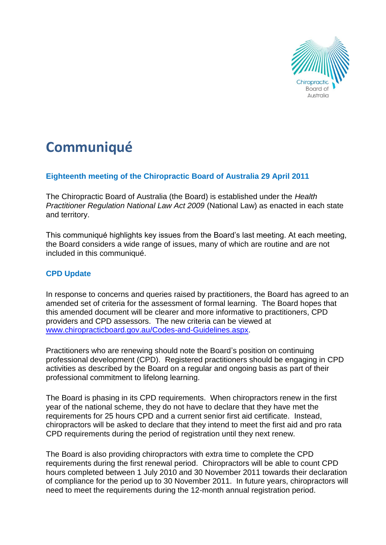

# **Communiqué**

# **Eighteenth meeting of the Chiropractic Board of Australia 29 April 2011**

The Chiropractic Board of Australia (the Board) is established under the *Health Practitioner Regulation National Law Act 2009* (National Law) as enacted in each state and territory.

This communiqué highlights key issues from the Board's last meeting. At each meeting, the Board considers a wide range of issues, many of which are routine and are not included in this communiqué.

# **CPD Update**

In response to concerns and queries raised by practitioners, the Board has agreed to an amended set of criteria for the assessment of formal learning. The Board hopes that this amended document will be clearer and more informative to practitioners, CPD providers and CPD assessors. The new criteria can be viewed at [www.chiropracticboard.gov.au/Codes-and-Guidelines.aspx.](http://www.chiropracticboard.gov.au/Codes-and-Guidelines.aspx)

Practitioners who are renewing should note the Board's position on continuing professional development (CPD). Registered practitioners should be engaging in CPD activities as described by the Board on a regular and ongoing basis as part of their professional commitment to lifelong learning.

The Board is phasing in its CPD requirements. When chiropractors renew in the first year of the national scheme, they do not have to declare that they have met the requirements for 25 hours CPD and a current senior first aid certificate. Instead, chiropractors will be asked to declare that they intend to meet the first aid and pro rata CPD requirements during the period of registration until they next renew.

The Board is also providing chiropractors with extra time to complete the CPD requirements during the first renewal period. Chiropractors will be able to count CPD hours completed between 1 July 2010 and 30 November 2011 towards their declaration of compliance for the period up to 30 November 2011. In future years, chiropractors will need to meet the requirements during the 12-month annual registration period.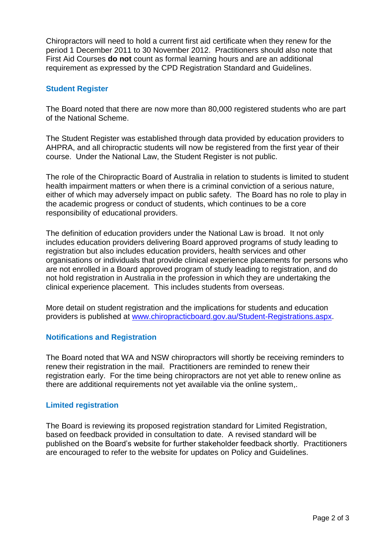Chiropractors will need to hold a current first aid certificate when they renew for the period 1 December 2011 to 30 November 2012. Practitioners should also note that First Aid Courses **do not** count as formal learning hours and are an additional requirement as expressed by the CPD Registration Standard and Guidelines.

## **Student Register**

The Board noted that there are now more than 80,000 registered students who are part of the National Scheme.

The Student Register was established through data provided by education providers to AHPRA, and all chiropractic students will now be registered from the first year of their course. Under the National Law, the Student Register is not public.

The role of the Chiropractic Board of Australia in relation to students is limited to student health impairment matters or when there is a criminal conviction of a serious nature, either of which may adversely impact on public safety. The Board has no role to play in the academic progress or conduct of students, which continues to be a core responsibility of educational providers.

The definition of education providers under the National Law is broad. It not only includes education providers delivering Board approved programs of study leading to registration but also includes education providers, health services and other organisations or individuals that provide clinical experience placements for persons who are not enrolled in a Board approved program of study leading to registration, and do not hold registration in Australia in the profession in which they are undertaking the clinical experience placement. This includes students from overseas.

More detail on student registration and the implications for students and education providers is published at [www.chiropracticboard.gov.au/Student-Registrations.aspx.](http://www.chiropracticboard.gov.au/Student-Registrations.aspx)

# **Notifications and Registration**

The Board noted that WA and NSW chiropractors will shortly be receiving reminders to renew their registration in the mail. Practitioners are reminded to renew their registration early. For the time being chiropractors are not yet able to renew online as there are additional requirements not yet available via the online system,.

### **Limited registration**

The Board is reviewing its proposed registration standard for Limited Registration, based on feedback provided in consultation to date. A revised standard will be published on the Board's website for further stakeholder feedback shortly. Practitioners are encouraged to refer to the website for updates on Policy and Guidelines.